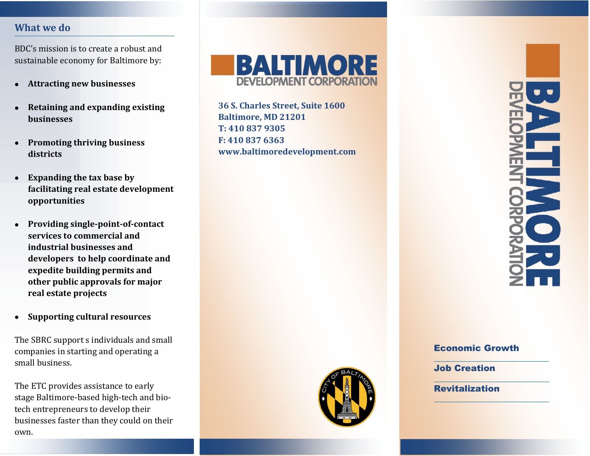#### **What we do**

BDC's mission is to create a robust and sustainable economy for Baltimore by:

- **Attracting new businesses**
- **Retaining and expanding existing businesses**
- **Promoting thriving business districts**
- **Expanding the tax base by facilitating real estate development opportunities**
- **Providing single-point-of-contact services to commercial and industrial businesses and developers to help coordinate and expedite building permits and other public approvals for major real estate projects**
- **Supporting cultural resources**

The SBRC support s individuals and small companies in starting and operating a small business.

The ETC provides assistance to early stage Baltimore-based high-tech and biotech entrepreneurs to develop their businesses faster than they could on their own.



**36 S. Charles Street, Suite 1600 Baltimore, MD 21201 T: 410 837 9305 F: 410 837 6363 www.baltimoredevelopment.com**



#### Economic Growth

Job Creation

**Revitalization**